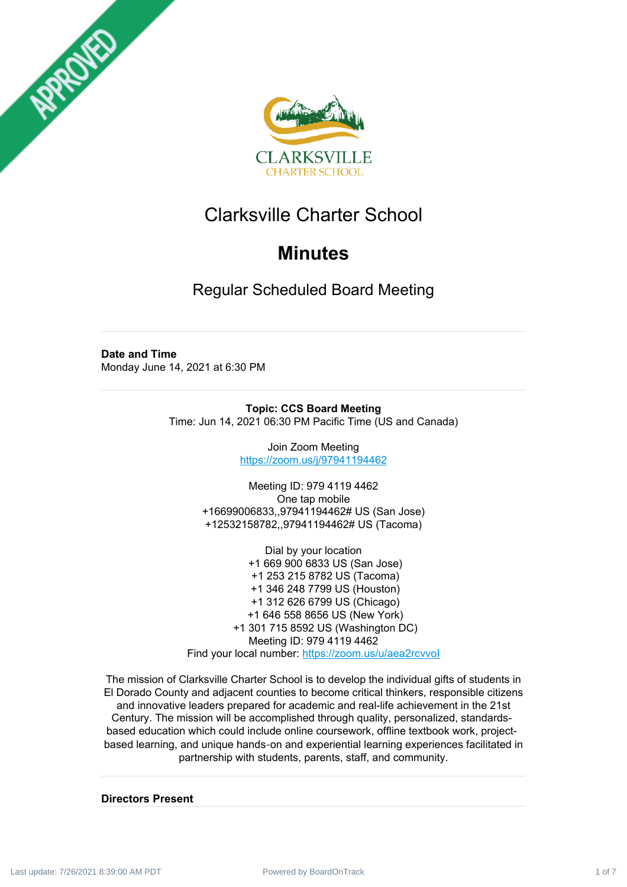



# Clarksville Charter School

# **Minutes**

Regular Scheduled Board Meeting

# **Date and Time**

Monday June 14, 2021 at 6:30 PM

**Topic: CCS Board Meeting** Time: Jun 14, 2021 06:30 PM Pacific Time (US and Canada)

> Join Zoom Meeting <https://zoom.us/j/97941194462>

Meeting ID: 979 4119 4462 One tap mobile +16699006833,,97941194462# US (San Jose) +12532158782,,97941194462# US (Tacoma)

Dial by your location +1 669 900 6833 US (San Jose) +1 253 215 8782 US (Tacoma) +1 346 248 7799 US (Houston) +1 312 626 6799 US (Chicago) +1 646 558 8656 US (New York) +1 301 715 8592 US (Washington DC) Meeting ID: 979 4119 4462 Find your local number: https://zoom.us/u/aea2rcvvol

The mission of Clarksville Charter School is to develop the individual gifts of students in El Dorado County and adjacent counties to become critical thinkers, responsible citizens and innovative leaders prepared for academic and real-life achievement in the 21st Century. The mission will be accomplished through quality, personalized, standardsbased education which could include online coursework, offline textbook work, projectbased learning, and unique hands‐on and experiential learning experiences facilitated in partnership with students, parents, staff, and community.

# **Directors Present**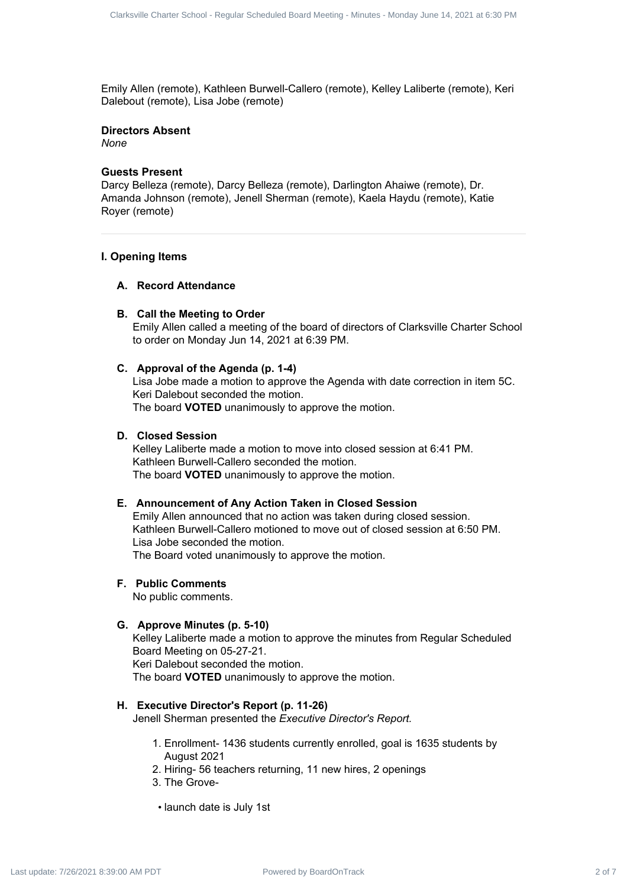Emily Allen (remote), Kathleen Burwell-Callero (remote), Kelley Laliberte (remote), Keri Dalebout (remote), Lisa Jobe (remote)

# **Directors Absent**

*None*

#### **Guests Present**

Darcy Belleza (remote), Darcy Belleza (remote), Darlington Ahaiwe (remote), Dr. Amanda Johnson (remote), Jenell Sherman (remote), Kaela Haydu (remote), Katie Royer (remote)

#### **I. Opening Items**

# **A. Record Attendance**

#### **B. Call the Meeting to Order**

Emily Allen called a meeting of the board of directors of Clarksville Charter School to order on Monday Jun 14, 2021 at 6:39 PM.

# **C. Approval of the Agenda (p. 1-4)**

Lisa Jobe made a motion to approve the Agenda with date correction in item 5C. Keri Dalebout seconded the motion. The board **VOTED** unanimously to approve the motion.

# **D. Closed Session**

Kelley Laliberte made a motion to move into closed session at 6:41 PM. Kathleen Burwell-Callero seconded the motion. The board **VOTED** unanimously to approve the motion.

#### **E. Announcement of Any Action Taken in Closed Session**

Emily Allen announced that no action was taken during closed session. Kathleen Burwell-Callero motioned to move out of closed session at 6:50 PM. Lisa Jobe seconded the motion. The Board voted unanimously to approve the motion. Clare is Clare is the 1 top or the Contract 2 of 7 Clare is the 1 Clare is the 1 Clare of 7 Clare is the 1 Clare of 7 Clare is the 1 Clare of 7 Clare is the 1 Clare of 7 Clare is the 1 Clare of 7 Clare is the 1 Clare of 7

#### **F. Public Comments**

No public comments.

#### **G. Approve Minutes (p. 5-10)**

Kelley Laliberte made a motion to approve the minutes from Regular Scheduled Board Meeting on 05-27-21. Keri Dalebout seconded the motion.

The board **VOTED** unanimously to approve the motion.

#### **H. Executive Director's Report (p. 11-26)**

Jenell Sherman presented the *Executive Director's Report.*

- 1. Enrollment- 1436 students currently enrolled, goal is 1635 students by August 2021
- 2. Hiring- 56 teachers returning, 11 new hires, 2 openings
- 3. The Grove-

• launch date is July 1st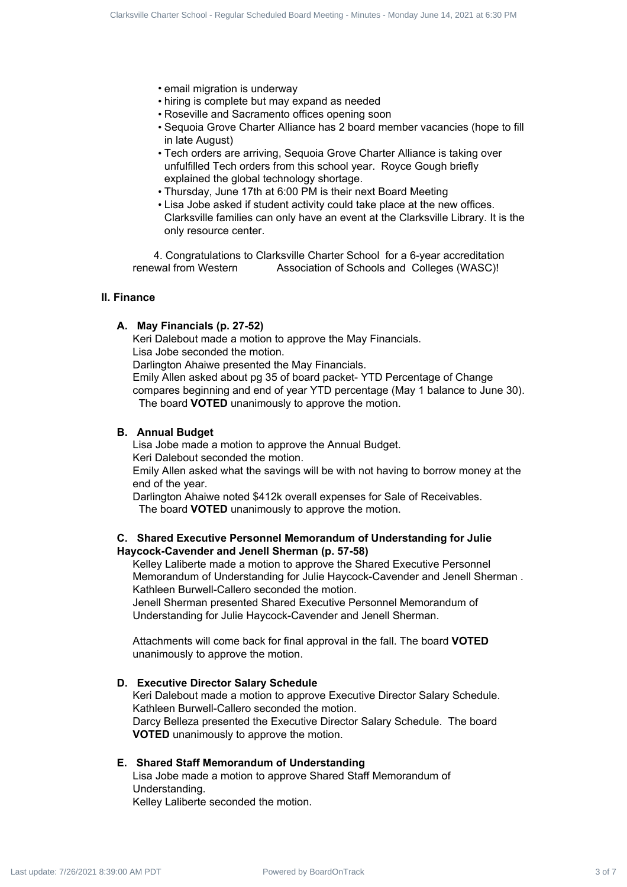- email migration is underway
- hiring is complete but may expand as needed
- Roseville and Sacramento offices opening soon
- Sequoia Grove Charter Alliance has 2 board member vacancies (hope to fill in late August)
- Tech orders are arriving, Sequoia Grove Charter Alliance is taking over unfulfilled Tech orders from this school year. Royce Gough briefly explained the global technology shortage.
- Thursday, June 17th at 6:00 PM is their next Board Meeting
- Lisa Jobe asked if student activity could take place at the new offices. Clarksville families can only have an event at the Clarksville Library. It is the only resource center.

4. Congratulations to Clarksville Charter School for a 6-year accreditation renewal from Western Association of Schools and Colleges (WASC)!

# **II. Finance**

#### **A. May Financials (p. 27-52)**

Keri Dalebout made a motion to approve the May Financials. Lisa Jobe seconded the motion.

Darlington Ahaiwe presented the May Financials.

Emily Allen asked about pg 35 of board packet- YTD Percentage of Change compares beginning and end of year YTD percentage (May 1 balance to June 30). The board **VOTED** unanimously to approve the motion.

#### **B. Annual Budget**

Lisa Jobe made a motion to approve the Annual Budget. Keri Dalebout seconded the motion.

Emily Allen asked what the savings will be with not having to borrow money at the end of the year.

Darlington Ahaiwe noted \$412k overall expenses for Sale of Receivables.

The board **VOTED** unanimously to approve the motion.

# **C. Shared Executive Personnel Memorandum of Understanding for Julie Haycock-Cavender and Jenell Sherman (p. 57-58)**

Kelley Laliberte made a motion to approve the Shared Executive Personnel Memorandum of Understanding for Julie Haycock-Cavender and Jenell Sherman . Kathleen Burwell-Callero seconded the motion.

Jenell Sherman presented Shared Executive Personnel Memorandum of Understanding for Julie Haycock-Cavender and Jenell Sherman.

Attachments will come back for final approval in the fall. The board **VOTED** unanimously to approve the motion.

#### **D. Executive Director Salary Schedule**

Keri Dalebout made a motion to approve Executive Director Salary Schedule. Kathleen Burwell-Callero seconded the motion. Darcy Belleza presented the Executive Director Salary Schedule. The board **VOTED** unanimously to approve the motion. Clare is the state of 10 Clare is the state of 7 Clare is a model of 10 Clare is a model of 7 Clare is a model of 7 Clare is a model of 7 Clare is a model of 7 Clare is a model of 7 Clare is a model of 7 Clare is a model o

#### **E. Shared Staff Memorandum of Understanding**

Lisa Jobe made a motion to approve Shared Staff Memorandum of Understanding. Kelley Laliberte seconded the motion.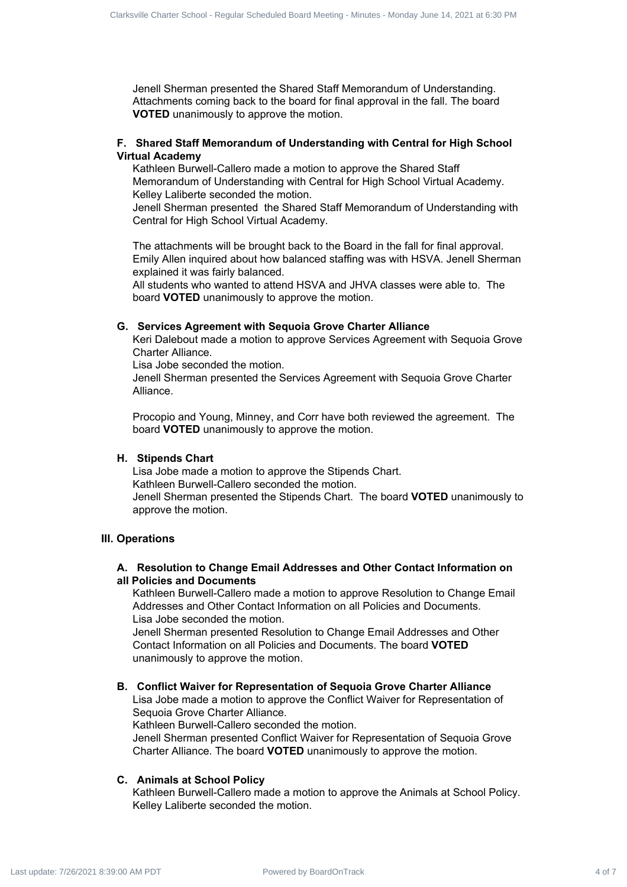Jenell Sherman presented the Shared Staff Memorandum of Understanding. Attachments coming back to the board for final approval in the fall. The board **VOTED** unanimously to approve the motion.

# **F. Shared Staff Memorandum of Understanding with Central for High School Virtual Academy**

Kathleen Burwell-Callero made a motion to approve the Shared Staff Memorandum of Understanding with Central for High School Virtual Academy. Kelley Laliberte seconded the motion.

Jenell Sherman presented the Shared Staff Memorandum of Understanding with Central for High School Virtual Academy.

The attachments will be brought back to the Board in the fall for final approval. Emily Allen inquired about how balanced staffing was with HSVA. Jenell Sherman explained it was fairly balanced.

All students who wanted to attend HSVA and JHVA classes were able to. The board **VOTED** unanimously to approve the motion.

#### **G. Services Agreement with Sequoia Grove Charter Alliance**

Keri Dalebout made a motion to approve Services Agreement with Sequoia Grove Charter Alliance.

Lisa Jobe seconded the motion.

Jenell Sherman presented the Services Agreement with Sequoia Grove Charter Alliance.

Procopio and Young, Minney, and Corr have both reviewed the agreement. The board **VOTED** unanimously to approve the motion.

#### **H. Stipends Chart**

Lisa Jobe made a motion to approve the Stipends Chart. Kathleen Burwell-Callero seconded the motion. Jenell Sherman presented the Stipends Chart. The board **VOTED** unanimously to approve the motion. Clares is the state of 10 Clares and the state of 7 Clares is the state of 10 Clares 1 of 7 Clares in the state of 7 Clares in the state of 7 Clares in the state of 7 Clares in the state of 7 Clares ville Charter School -

# **III. Operations**

# **A. Resolution to Change Email Addresses and Other Contact Information on all Policies and Documents**

Kathleen Burwell-Callero made a motion to approve Resolution to Change Email Addresses and Other Contact Information on all Policies and Documents. Lisa Jobe seconded the motion.

Jenell Sherman presented Resolution to Change Email Addresses and Other Contact Information on all Policies and Documents. The board **VOTED** unanimously to approve the motion.

# **B. Conflict Waiver for Representation of Sequoia Grove Charter Alliance**

Lisa Jobe made a motion to approve the Conflict Waiver for Representation of Sequoia Grove Charter Alliance.

Kathleen Burwell-Callero seconded the motion.

Jenell Sherman presented Conflict Waiver for Representation of Sequoia Grove Charter Alliance. The board **VOTED** unanimously to approve the motion.

#### **C. Animals at School Policy**

Kathleen Burwell-Callero made a motion to approve the Animals at School Policy. Kelley Laliberte seconded the motion.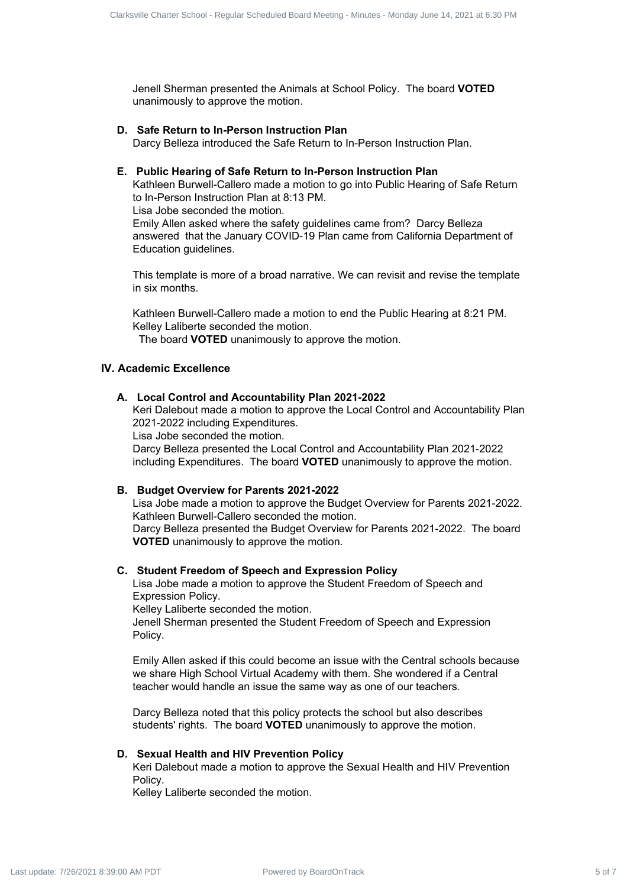Jenell Sherman presented the Animals at School Policy. The board **VOTED** unanimously to approve the motion.

#### **D. Safe Return to In-Person Instruction Plan**

Darcy Belleza introduced the Safe Return to In-Person Instruction Plan.

#### **E. Public Hearing of Safe Return to In-Person Instruction Plan**

Kathleen Burwell-Callero made a motion to go into Public Hearing of Safe Return to In-Person Instruction Plan at 8:13 PM. Lisa Jobe seconded the motion.

Emily Allen asked where the safety guidelines came from? Darcy Belleza answered that the January COVID-19 Plan came from California Department of Education guidelines. Clare is Clare is detailed by BoardOnTrack 5 of 7 Clare is the Northern Charter Schedule Charter School - Regular School - Regular Schedule Board Meeting - Regular Schedule Board Meeting - Minutes - Minutes - Minutes - Min

This template is more of a broad narrative. We can revisit and revise the template in six months.

Kathleen Burwell-Callero made a motion to end the Public Hearing at 8:21 PM. Kelley Laliberte seconded the motion.

The board **VOTED** unanimously to approve the motion.

# **IV. Academic Excellence**

# **A. Local Control and Accountability Plan 2021-2022**

Keri Dalebout made a motion to approve the Local Control and Accountability Plan 2021-2022 including Expenditures.

Lisa Jobe seconded the motion.

Darcy Belleza presented the Local Control and Accountability Plan 2021-2022 including Expenditures. The board **VOTED** unanimously to approve the motion.

#### **B. Budget Overview for Parents 2021-2022**

Lisa Jobe made a motion to approve the Budget Overview for Parents 2021-2022. Kathleen Burwell-Callero seconded the motion.

Darcy Belleza presented the Budget Overview for Parents 2021-2022. The board **VOTED** unanimously to approve the motion.

# **C. Student Freedom of Speech and Expression Policy**

Lisa Jobe made a motion to approve the Student Freedom of Speech and Expression Policy.

Kelley Laliberte seconded the motion.

Jenell Sherman presented the Student Freedom of Speech and Expression Policy.

Emily Allen asked if this could become an issue with the Central schools because we share High School Virtual Academy with them. She wondered if a Central teacher would handle an issue the same way as one of our teachers.

Darcy Belleza noted that this policy protects the school but also describes students' rights. The board **VOTED** unanimously to approve the motion.

#### **D. Sexual Health and HIV Prevention Policy**

Keri Dalebout made a motion to approve the Sexual Health and HIV Prevention Policy.

Kelley Laliberte seconded the motion.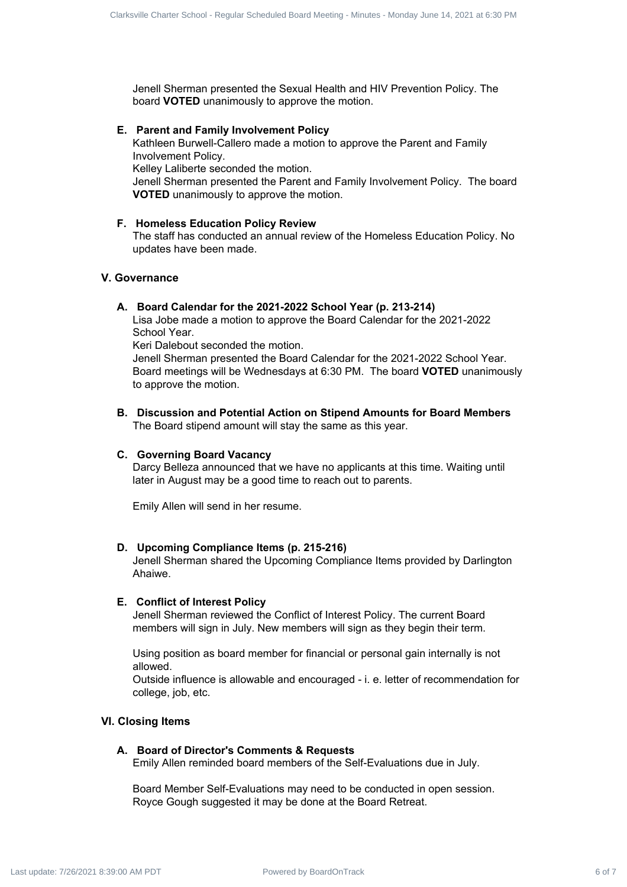Jenell Sherman presented the Sexual Health and HIV Prevention Policy. The board **VOTED** unanimously to approve the motion.

#### **E. Parent and Family Involvement Policy**

Kathleen Burwell-Callero made a motion to approve the Parent and Family Involvement Policy.

Kelley Laliberte seconded the motion.

Jenell Sherman presented the Parent and Family Involvement Policy. The board **VOTED** unanimously to approve the motion.

#### **F. Homeless Education Policy Review**

The staff has conducted an annual review of the Homeless Education Policy. No updates have been made.

#### **V. Governance**

#### **A. Board Calendar for the 2021-2022 School Year (p. 213-214)**

Lisa Jobe made a motion to approve the Board Calendar for the 2021-2022 School Year.

Keri Dalebout seconded the motion.

Jenell Sherman presented the Board Calendar for the 2021-2022 School Year. Board meetings will be Wednesdays at 6:30 PM. The board **VOTED** unanimously to approve the motion. Clares is the state is the state is the state of Regular Schedule and the Schedule Charter Schedule Schedule Charter School - Regular Schedule Board Meeting - Minutes - Minutes - Minutes - Minutes - Minutes - Minutes - Min

**B. Discussion and Potential Action on Stipend Amounts for Board Members** The Board stipend amount will stay the same as this year.

#### **C. Governing Board Vacancy**

Darcy Belleza announced that we have no applicants at this time. Waiting until later in August may be a good time to reach out to parents.

Emily Allen will send in her resume.

#### **D. Upcoming Compliance Items (p. 215-216)**

Jenell Sherman shared the Upcoming Compliance Items provided by Darlington Ahaiwe.

#### **E. Conflict of Interest Policy**

Jenell Sherman reviewed the Conflict of Interest Policy. The current Board members will sign in July. New members will sign as they begin their term.

Using position as board member for financial or personal gain internally is not allowed.

Outside influence is allowable and encouraged - i. e. letter of recommendation for college, job, etc.

#### **VI. Closing Items**

#### **A. Board of Director's Comments & Requests**

Emily Allen reminded board members of the Self-Evaluations due in July.

Board Member Self-Evaluations may need to be conducted in open session. Royce Gough suggested it may be done at the Board Retreat.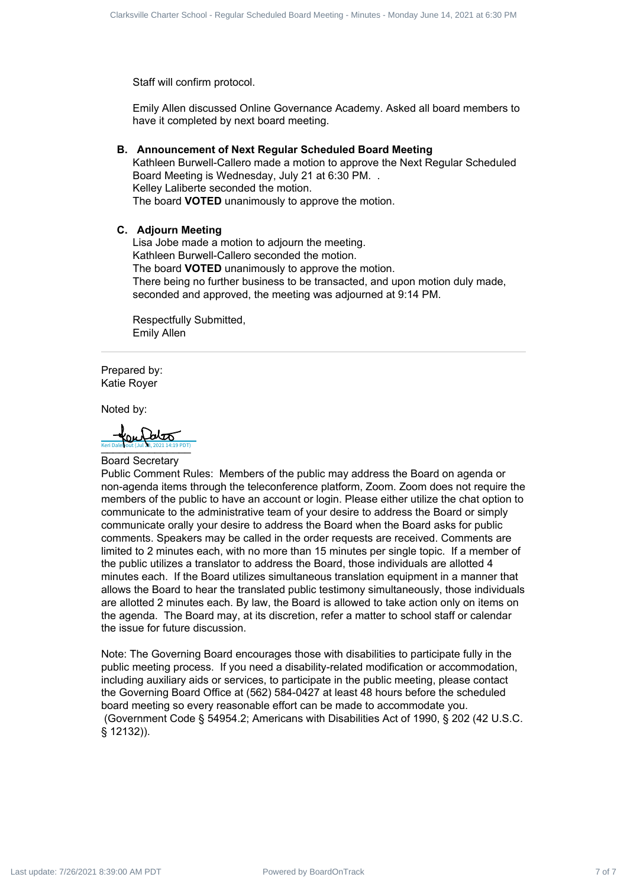Staff will confirm protocol.

Emily Allen discussed Online Governance Academy. Asked all board members to have it completed by next board meeting.

#### **B. Announcement of Next Regular Scheduled Board Meeting**

Kathleen Burwell-Callero made a motion to approve the Next Regular Scheduled Board Meeting is Wednesday, July 21 at 6:30 PM. . Kelley Laliberte seconded the motion. The board **VOTED** unanimously to approve the motion.

#### **C. Adjourn Meeting**

Lisa Jobe made a motion to adjourn the meeting. Kathleen Burwell-Callero seconded the motion. The board **VOTED** unanimously to approve the motion. There being no further business to be transacted, and upon motion duly made, seconded and approved, the meeting was adjourned at 9:14 PM.

Respectfully Submitted, Emily Allen

Prepared by: Katie Royer

Noted by:

Keri Dalehout (Jul 28, 2021 14:19 PDT)<br>-Keri Dalebout (Jul 28, 2021 14:19 PDT)

Board Secretary

Public Comment Rules: Members of the public may address the Board on agenda or non-agenda items through the teleconference platform, Zoom. Zoom does not require the members of the public to have an account or login. Please either utilize the chat option to communicate to the administrative team of your desire to address the Board or simply communicate orally your desire to address the Board when the Board asks for public comments. Speakers may be called in the order requests are received. Comments are limited to 2 minutes each, with no more than 15 minutes per single topic. If a member of the public utilizes a translator to address the Board, those individuals are allotted 4 minutes each. If the Board utilizes simultaneous translation equipment in a manner that allows the Board to hear the translated public testimony simultaneously, those individuals are allotted 2 minutes each. By law, the Board is allowed to take action only on items on the agenda. The Board may, at its discretion, refer a matter to school staff or calendar the issue for future discussion. Clare is Clare is the 1 of 2 of 7 Clare is the 1 of 7 Clare is the 1 of 7 Clare is the 1 Clare is the 1 Clare of 7 Clare is the 1 Clare is the 1 Clare of 7 Clare is the 1 Clare of 7 Clare is the 1 Clare of 7 Clare is the 1

Note: The Governing Board encourages those with disabilities to participate fully in the public meeting process. If you need a disability-related modification or accommodation, including auxiliary aids or services, to participate in the public meeting, please contact the Governing Board Office at (562) 584-0427 at least 48 hours before the scheduled board meeting so every reasonable effort can be made to accommodate you. (Government Code § 54954.2; Americans with Disabilities Act of 1990, § 202 (42 U.S.C. § 12132)).